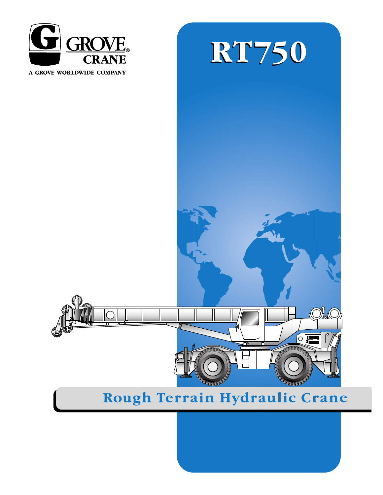

A GROVE WORLDWIDE COMPANY





# Rough Terrain Hydraulic Crane

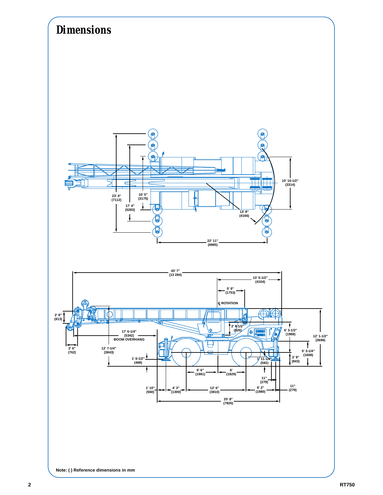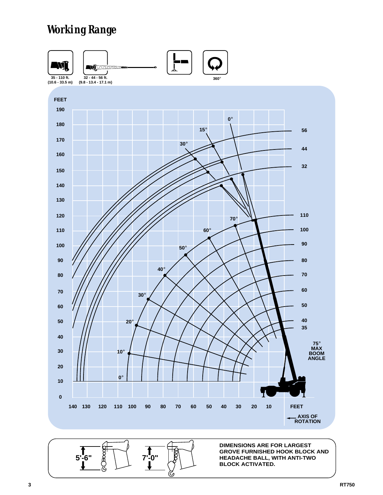# *Working Range*



C,

**DIMENSIONS ARE FOR LARGEST GROVE FURNISHED HOOK BLOCK AND HEADACHE BALL, WITH ANTI-TWO BLOCK ACTIVATED.** 

**5'-6" 8' 7'-0"**<br> **1 7'-0"**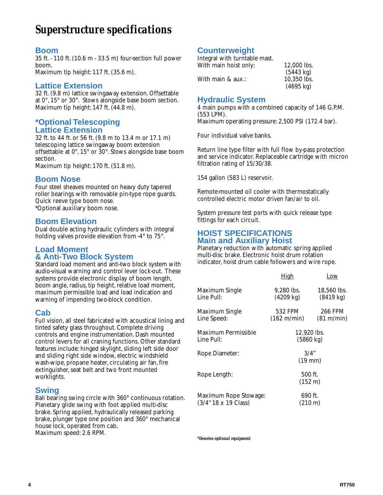## *Superstructure specifications*

#### **Boom**

35 ft. - 110 ft.(10.6 m - 33.5 m) four-section full power boom. Maximum tip height: 117 ft. (35.6 m).

**Lattice Extension**

32 ft. (9.8 m) lattice swingaway extension. Offsettable at 0°, 15° or 30°. Stows alongside base boom section. Maximum tip height: 147 ft. (44.8 m).

#### **\*Optional Telescoping Lattice Extension**

32 ft. to 44 ft. or 56 ft.(9.8 m to 13.4 m or 17.1 m) telescoping lattice swingaway boom extension offsettable at 0°, 15° or 30°. Stows alongside base boom section.

Maximum tip height: 170 ft. (51.8 m).

#### **Boom Nose**

Four steel sheaves mounted on heavy duty tapered roller bearings with removable pin-type rope guards. Quick reeve type boom nose. \*Optional auxiliary boom nose.

#### **Boom Elevation**

Dual double acting hydraulic cylinders with integral holding valves provide elevation from -4° to 75°.

#### **Load Moment & Anti-Two Block System**

Standard load moment and anti-two block system with audio-visual warning and control lever lock-out. These systems provide electronic display of boom length, boom angle, radius, tip height, relative load moment, maximum permissible load and load indication and warning of impending two-block condition.

#### **Cab**

Full vision, all steel fabricated with acoustical lining and tinted safety glass throughout. Complete driving controls and engine instrumentation. Dash mounted control levers for all craning functions. Other standard features include: hinged skylight, sliding left side door and sliding right side window, electric windshield wash-wipe, propane heater, circulating air fan, fire extinguisher, seat belt and two front mounted worklights.

#### **Swing**

Ball bearing swing circle with 360° continuous rotation. Planetary glide swing with foot applied multi-disc brake. Spring applied, hydraulically released parking brake, plunger type one position and 360° mechanical house lock, operated from cab. Maximum speed: 2.6 RPM.

## **Counterweight**

Integral with turntable mast. With main hoist only: 12,000 lbs. (5443 kg)

|                   | (9449 NY)           |
|-------------------|---------------------|
| With main & aux.: | 10,350 lbs.         |
|                   | $(4695 \text{ kg})$ |

## **Hydraulic System**

4 main pumps with a combined capacity of 146 G.P.M. (553 LPM). Maximum operating pressure: 2,500 PSI (172.4 bar).

Four individual valve banks.

Return line type filter with full flow by-pass protection and service indicator. Replaceable cartridge with micron filtration rating of 15/30/38.

154 gallon (583 L) reservoir.

Remote-mounted oil cooler with thermostatically controlled electric motor driven fan/air to oil.

System pressure test ports with quick release type fittings for each circuit.

#### **HOIST SPECIFICATIONS Main and Auxiliary Hoist**

Planetary reduction with automatic spring applied multi-disc brake. Electronic hoist drum rotation indicator, hoist drum cable followers and wire rope.

|                                               | <u>High</u>                       | Low                                |
|-----------------------------------------------|-----------------------------------|------------------------------------|
| Maximum Single<br>Line Pull:                  | 9.280 lbs.<br>$(4209 \text{ kg})$ | 18,560 lbs.<br>$(8419 \text{ kg})$ |
| Maximum Single<br>Line Speed:                 | 532 FPM<br>(162 m/min)            | 266 FPM<br>(81 m/min)              |
| Maximum Permissible<br>Line Pull:             | 12,920 lbs.<br>(5860 kg)          |                                    |
| Rope Diameter:                                | 3/4"<br>$(19$ mm)                 |                                    |
| Rope Length:                                  | 500 ft.<br>(152 m)                |                                    |
| Maximum Rope Stowage:<br>(3/4" 18 x 19 Class) | 690 ft.<br>$(210 \text{ m})$      |                                    |

*\*Denotes optional equipment*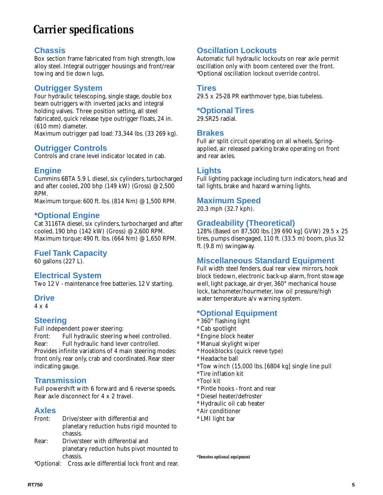# *Carrier specifications*

#### **Chassis**

Box section frame fabricated from high strength, low alloy steel. Integral outrigger housings and front/rear towing and tie down lugs.

## **Outrigger System**

Four hydraulic telescoping, single stage, double box beam outriggers with inverted jacks and integral holding valves. Three position setting, all steel fabricated, quick release type outrigger floats, 24 in. (610 mm) diameter.

Maximum outrigger pad load: 73,344 lbs. (33 269 kg).

## **Outrigger Controls**

Controls and crane level indicator located in cab.

#### **Engine**

Cummins 6BTA 5.9 L diesel, six cylinders, turbocharged and after cooled, 200 bhp (149 kW) (Gross) @ 2,500 RPM.

Maximum torque: 600 ft. lbs.(814 Nm) @ 1,500 RPM.

#### **\*Optional Engine**

Cat 3116TA diesel, six cylinders, turbocharged and after cooled, 190 bhp (142 kW) (Gross) @ 2,600 RPM. Maximum torque: 490 ft. lbs.(664 Nm) @ 1,650 RPM.

## **Fuel Tank Capacity**

60 gallons (227 L).

## **Electrical System**

Two 12 V - maintenance free batteries. 12 V starting.

#### **Drive**

4 x 4

#### **Steering**

Full independent power steering:

Front: Full hydraulic steering wheel controlled. Rear: Full hydraulic hand lever controlled. Provides infinite variations of 4 main steering modes: front only, rear only, crab and coordinated. Rear steer indicating gauge.

#### **Transmission**

Full powershift with 6 forward and 6 reverse speeds. Rear axle disconnect for 4 x 2 travel.

#### **Axles**

| Front: | Drive/steer with differential and         |
|--------|-------------------------------------------|
|        | planetary reduction hubs rigid mounted to |
|        | chassis.                                  |
| Rear:  | Drive/steer with differential and         |
|        | planetary reduction hubs pivot mounted to |

chassis.

\*Optional: Cross axle differential lock front and rear.

## **Oscillation Lockouts**

Automatic full hydraulic lockouts on rear axle permit oscillation only with boom centered over the front. \*Optional oscillation lockout override control.

#### **Tires**

29.5 x 25-28 PR earthmover type, bias tubeless.

#### **\*Optional Tires**

29.5R25 radial.

#### **Brakes**

Full air split circuit operating on all wheels. Springapplied, air released parking brake operating on front and rear axles.

## **Lights**

Full lighting package including turn indicators, head and tail lights, brake and hazard warning lights.

## **Maximum Speed**

20.3 mph (32.7 kph).

#### **Gradeability (Theoretical)**

128% (Based on 87,500 lbs.[39 690 kg] GVW) 29.5 x 25 tires, pumps disengaged, 110 ft. (33.5 m) boom, plus 32 ft.(9.8 m) swingaway.

#### **Miscellaneous Standard Equipment**

Full width steel fenders, dual rear view mirrors, hook block tiedown, electronic back-up alarm, front stowage well, light package, air dryer, 360° mechanical house lock, tachometer/hourmeter, low oil pressure/high water temperature a/v warning system.

#### **\*Optional Equipment**

- \* 360° flashing light
- \* Cab spotlight
- \* Engine block heater
- \* Manual skylight wiper
- \* Hookblocks (quick reeve type)
- \* Headache ball
- \* Tow winch (15,000 lbs.[6804 kg] single line pull
- \* Tire inflation kit
- \* Tool kit
- \* Pintle hooks front and rear
- \* Diesel heater/defroster
- \* Hydraulic oil cab heater
- \* Air conditioner
- \* LMI light bar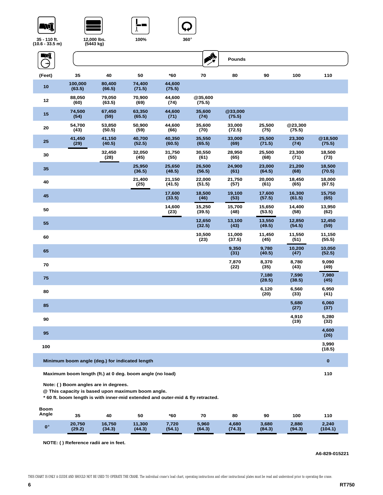





**100%**



**35 - 110 ft. (10.6 - 33.5 m)**

**12,000 lbs. (5443 kg)**

| , ווו ט.ט. ט.טו |                   | נשח טדדטן                                      |                                                          |                  |                                                                                |                   |                  |                   |                   |  |
|-----------------|-------------------|------------------------------------------------|----------------------------------------------------------|------------------|--------------------------------------------------------------------------------|-------------------|------------------|-------------------|-------------------|--|
| $\blacksquare$  |                   |                                                |                                                          |                  | $\frac{1}{\sqrt{2}}$                                                           | <b>Pounds</b>     |                  |                   |                   |  |
| (Feet)          | 35                | 40                                             | 50                                                       | *60              | 70                                                                             | 80                | 90               | 100               | 110               |  |
| 10              | 100,000<br>(63.5) | 80,400<br>(66.5)                               | 74,400<br>(71.5)                                         | 44,600<br>(75.5) |                                                                                |                   |                  |                   |                   |  |
| 12              | 88,050<br>(60)    | 79,050<br>(63.5)                               | 70,900<br>(69)                                           | 44,600<br>(74)   | @35,600<br>(75.5)                                                              |                   |                  |                   |                   |  |
| 15              | 74,500<br>(54)    | 67,450<br>(59)                                 | 63,350<br>(65.5)                                         | 44,600<br>(71)   | 35,600<br>(74)                                                                 | @33,000<br>(75.5) |                  |                   |                   |  |
| 20              | 54,700<br>(43)    | 53,850<br>(50.5)                               | 50,900<br>(59)                                           | 44,600<br>(66)   | 35,600<br>(70)                                                                 | 33,000<br>(72.5)  | 25,500<br>(75)   | @23,300<br>(75.5) |                   |  |
| 25              | 41,450<br>(29)    | 41,150<br>(40.5)                               | 40,700<br>(52.5)                                         | 40,350<br>(60.5) | 35,550<br>(65.5)                                                               | 33,000<br>(69)    | 25,500<br>(71.5) | 23,300<br>(74)    | @18,500<br>(75.5) |  |
| 30              |                   | 32,450<br>(28)                                 | 32,050<br>(45)                                           | 31,750<br>(55)   | 30,550<br>(61)                                                                 | 28,950<br>(65)    | 25,500<br>(68)   | 23,300<br>(71)    | 18,500<br>(73)    |  |
| 35              |                   |                                                | 25,950<br>(36.5)                                         | 25,650<br>(48.5) | 26,500<br>(56.5)                                                               | 24,900<br>(61)    | 23,000<br>(64.5) | 21,200<br>(68)    | 18,500<br>(70.5)  |  |
| 40              |                   |                                                | 21,400<br>(25)                                           | 21,150<br>(41.5) | 22,000<br>(51.5)                                                               | 21,750<br>(57)    | 20,000<br>(61)   | 18,450<br>(65)    | 18,000<br>(67.5)  |  |
| 45              |                   |                                                |                                                          | 17,600<br>(33.5) | 18,500<br>(46)                                                                 | 19,100<br>(53)    | 17,600<br>(57.5) | 16,300<br>(61.5)  | 15,750<br>(65)    |  |
| 50              |                   |                                                |                                                          | 14,600<br>(23)   | 15,250<br>(39.5)                                                               | 15,700<br>(48)    | 15,650<br>(53.5) | 14.400<br>(58)    | 13,950<br>(62)    |  |
| 55              |                   |                                                |                                                          |                  | 12,650<br>(32.5)                                                               | 13,100<br>(43)    | 13,550<br>(49.5) | 12,850<br>(54.5)  | 12,450<br>(59)    |  |
| 60              |                   |                                                |                                                          |                  | 10,500<br>(23)                                                                 | 11,000<br>(37.5)  | 11,450<br>(45)   | 11,550<br>(51)    | 11,150<br>(55.5)  |  |
| 65              |                   |                                                |                                                          |                  |                                                                                | 9,350<br>(31)     | 9,780<br>(40.5)  | 10,200<br>(47)    | 10,050<br>(52.5)  |  |
| 70              |                   |                                                |                                                          |                  |                                                                                | 7,870<br>(22)     | 8,370<br>(35)    | 8,780<br>(43)     | 9,090<br>(49)     |  |
| 75              |                   |                                                |                                                          |                  |                                                                                |                   | 7,180<br>(28.5)  | 7,590<br>(38.5)   | 7,980<br>(45)     |  |
| 80              |                   |                                                |                                                          |                  |                                                                                |                   | 6,120<br>(20)    | 6,560<br>(33)     | 6,950<br>(41)     |  |
| 85              |                   |                                                |                                                          |                  |                                                                                |                   |                  | 5,680<br>(27)     | 6,060<br>(37)     |  |
| 90              |                   |                                                |                                                          |                  |                                                                                |                   |                  | 4,910<br>(19)     | 5,280<br>(32)     |  |
| 95              |                   |                                                |                                                          |                  |                                                                                |                   |                  |                   | 4,600<br>(26)     |  |
| 100             |                   |                                                |                                                          |                  |                                                                                |                   |                  |                   | 3,990<br>(18.5)   |  |
|                 |                   | Minimum boom angle (deg.) for indicated length |                                                          |                  |                                                                                |                   |                  |                   | $\bf{0}$          |  |
|                 |                   |                                                | Maximum boom length (ft.) at 0 deg. boom angle (no load) |                  |                                                                                |                   |                  |                   | 110               |  |
|                 |                   | Note: () Boom angles are in degrees.           | @ This capacity is based upon maximum boom angle.        |                  | * 60 ft. boom length is with inner-mid extended and outer-mid & fly retracted. |                   |                  |                   |                   |  |

| <b>Boom</b><br>Angle | 35               | 40               | 50               | *60             | 70              | 80              | 90              | 100             | 110              |  |
|----------------------|------------------|------------------|------------------|-----------------|-----------------|-----------------|-----------------|-----------------|------------------|--|
| $0^\circ$            | 20,750<br>(29.2) | 16,750<br>(34.3) | 11,300<br>(44.3) | 7,720<br>(54.1) | 5,960<br>(64.3) | 4,680<br>(74.3) | 3,680<br>(84.3) | 2,880<br>(94.3) | 2,240<br>(104.1) |  |

**NOTE: ( ) Reference radii are in feet.**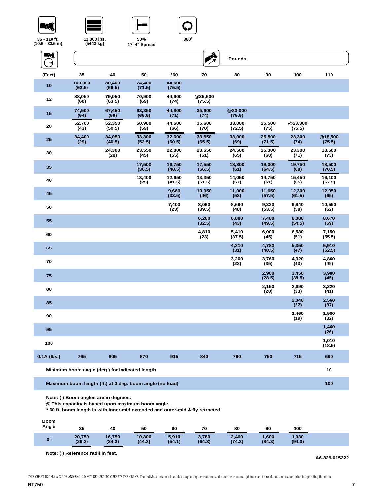





**50%** 



**35 - 110 ft. (10.6 - 33.5 m)**

**12,000 lbs. (5443 kg)**

| $0.6 - 33.5$ m) | (5443 kg)         |                  | 17' 4" Spread                                            |                  |                   |                   |                  |                   |                   |  |
|-----------------|-------------------|------------------|----------------------------------------------------------|------------------|-------------------|-------------------|------------------|-------------------|-------------------|--|
| Eni             |                   |                  |                                                          |                  | <b>A</b>          | <b>Pounds</b>     |                  |                   |                   |  |
| (Feet)          | 35                | 40               | 50                                                       | *60              | 70                | 80                | 90               | 100               | 110               |  |
| 10              | 100,000<br>(63.5) | 80,400<br>(66.5) | 74,400<br>(71.5)                                         | 44,600<br>(75.5) |                   |                   |                  |                   |                   |  |
| 12              | 88,050<br>(60)    | 79,050<br>(63.5) | 70,900<br>(69)                                           | 44,600<br>(74)   | @35,600<br>(75.5) |                   |                  |                   |                   |  |
| 15              | 74,500<br>(54)    | 67,450<br>(59)   | 63,350<br>(65.5)                                         | 44,600<br>(71)   | 35,600<br>(74)    | @33,000<br>(75.5) |                  |                   |                   |  |
| 20              | 52,700<br>(43)    | 52,350<br>(50.5) | 50,900<br>(59)                                           | 44,600<br>(66)   | 35,600<br>(70)    | 33,000<br>(72.5)  | 25,500<br>(75)   | @23,300<br>(75.5) |                   |  |
| 25              | 34,400<br>(29)    | 34,050<br>(40.5) | 33,300<br>(52.5)                                         | 32,600<br>(60.5) | 33,550<br>(65.5)  | 33,000<br>(69)    | 25,500<br>(71.5) | 23,300<br>(74)    | @18,500<br>(75.5) |  |
| 30              |                   | 24,300<br>(28)   | 23,550<br>(45)                                           | 22,800<br>(55)   | 23,650<br>(61)    | 24,500<br>(65)    | 25,300<br>(68)   | 23,300<br>(71)    | 18,500<br>(73)    |  |
| 35              |                   |                  | 17,500<br>(36.5)                                         | 16,750<br>(48.5) | 17,550<br>(56.5)  | 18,300<br>(61)    | 19,000<br>(64.5) | 19,750<br>(68)    | 18,500<br>(70.5)  |  |
| 40              |                   |                  | 13,400<br>(25)                                           | 12,650<br>(41.5) | 13,350<br>(51.5)  | 14,050<br>(57)    | 14,750<br>(61)   | 15,450<br>(65)    | 16,100<br>(67.5)  |  |
| 45              |                   |                  |                                                          | 9,660<br>(33.5)  | 10,350<br>(46)    | 11,000<br>(53)    | 11,650<br>(57.5) | 12,300<br>(61.5)  | 12,950<br>(65)    |  |
| 50              |                   |                  |                                                          | 7,400<br>(23)    | 8,060<br>(39.5)   | 8,690<br>(48)     | 9,320<br>(53.5)  | 9,940<br>(58)     | 10,550<br>(62)    |  |
| 55              |                   |                  |                                                          |                  | 6,260<br>(32.5)   | 6,880<br>(43)     | 7,480<br>(49.5)  | 8,080<br>(54.5)   | 8,670<br>(59)     |  |
| 60              |                   |                  |                                                          |                  | 4,810<br>(23)     | 5,410<br>(37.5)   | 6,000<br>(45)    | 6,580<br>(51)     | 7,150<br>(55.5)   |  |
| 65              |                   |                  |                                                          |                  |                   | 4,210<br>(31)     | 4,780<br>(40.5)  | 5,350<br>(47)     | 5,910<br>(52.5)   |  |
| 70              |                   |                  |                                                          |                  |                   | 3,200<br>(22)     | 3,760<br>(35)    | 4,320<br>(43)     | 4,860<br>(49)     |  |
| 75              |                   |                  |                                                          |                  |                   |                   | 2,900<br>(28.5)  | 3,450<br>(38.5)   | 3,980<br>(45)     |  |
| 80              |                   |                  |                                                          |                  |                   |                   | 2,150<br>(20)    | 2,690<br>(33)     | 3,220<br>(41)     |  |
| 85              |                   |                  |                                                          |                  |                   |                   |                  | 2,040<br>(27)     | 2,560<br>(37)     |  |
| 90              |                   |                  |                                                          |                  |                   |                   |                  | 1,460<br>(19)     | 1,980<br>(32)     |  |
| 95              |                   |                  |                                                          |                  |                   |                   |                  |                   | 1,460<br>(26)     |  |
| 100             |                   |                  |                                                          |                  |                   |                   |                  |                   | 1,010<br>(18.5)   |  |
| $0.1A$ (lbs.)   | 765               | 805              | 870                                                      | 915              | 840               | 790               | 750              | 715               | 690               |  |
|                 |                   |                  | Minimum boom angle (deg.) for indicated length           |                  |                   |                   |                  |                   | 10                |  |
|                 |                   |                  | Maximum boom length (ft.) at 0 deg. boom angle (no load) |                  |                   |                   |                  |                   | 100               |  |

**Note: ( ) Boom angles are in degrees.**

**@ This capacity is based upon maximum boom angle.**

**\* 60 ft. boom length is with inner-mid extended and outer-mid & fly retracted.**

| <b>Boom</b><br>Angle | 35               | 40               | 50               | 60              | 70              | 80              | 90              | 100             |  |
|----------------------|------------------|------------------|------------------|-----------------|-----------------|-----------------|-----------------|-----------------|--|
| $0^{\circ}$          | 20,750<br>(29.2) | 16,750<br>(34.3) | 10,800<br>(44.3) | 5,910<br>(54.1) | 3,780<br>(64.3) | 2,460<br>(74.3) | 1,600<br>(84.3) | 1,030<br>(94.3) |  |

**Note: ( ) Reference radii in feet.**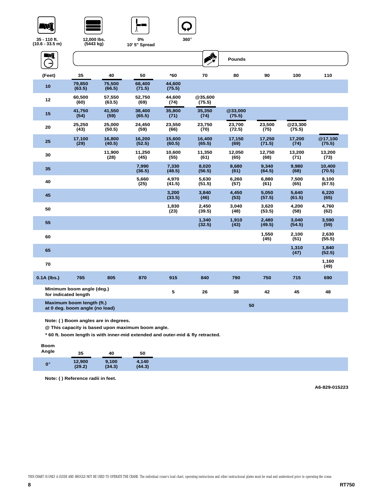





**0%** 



**35 - 110 ft. (10.6 - 33.5 m)**

**12,000 lbs. (5443 kg)**

| 10.6 - 33.5 m)                                              | (5443 kg)                                         |                  | 10' 5" Spread    |                  |                   |                   |                  |                   |                   |  |
|-------------------------------------------------------------|---------------------------------------------------|------------------|------------------|------------------|-------------------|-------------------|------------------|-------------------|-------------------|--|
| WÎ                                                          |                                                   |                  |                  |                  | <b>A</b>          | <b>Pounds</b>     |                  |                   |                   |  |
| (Feet)                                                      | 35                                                | 40               | 50               | *60              | 70                | 80                | 90               | 100               | 110               |  |
| 10                                                          | 79,850<br>(63.5)                                  | 75,500<br>(66.5) | 68,400<br>(71.5) | 44,600<br>(75.5) |                   |                   |                  |                   |                   |  |
| 12                                                          | 60,500<br>(60)                                    | 57,550<br>(63.5) | 52,750<br>(69)   | 44,600<br>(74)   | @35,600<br>(75.5) |                   |                  |                   |                   |  |
| 15                                                          | 41,750<br>(54)                                    | 41,550<br>(59)   | 38,400<br>(65.5) | 35,800<br>(71)   | 35,350<br>(74)    | @33,000<br>(75.5) |                  |                   |                   |  |
| 20                                                          | 25,250<br>(43)                                    | 25,000<br>(50.5) | 24,450<br>(59)   | 23,550<br>(66)   | 23,750<br>(70)    | 23,700<br>(72.5)  | 23,500<br>(75)   | @23,300<br>(75.5) |                   |  |
| 25                                                          | 17,100<br>(29)                                    | 16,800<br>(40.5) | 16,200<br>(52.5) | 15,600<br>(60.5) | 16,400<br>(65.5)  | 17,150<br>(69)    | 17,250<br>(71.5) | 17,200<br>(74)    | @17,100<br>(75.5) |  |
| 30                                                          |                                                   | 11,900<br>(28)   | 11,250<br>(45)   | 10,600<br>(55)   | 11,350<br>(61)    | 12,050<br>(65)    | 12,750<br>(68)   | 13,200<br>(71)    | 13,200<br>(73)    |  |
| 35                                                          |                                                   |                  | 7,990<br>(36.5)  | 7,330<br>(48.5)  | 8,020<br>(56.5)   | 8,680<br>(61)     | 9,340<br>(64.5)  | 9,980<br>(68)     | 10,400<br>(70.5)  |  |
| 40                                                          |                                                   |                  | 5,660<br>(25)    | 4,970<br>(41.5)  | 5,630<br>(51.5)   | 6,260<br>(57)     | 6,880<br>(61)    | 7,500<br>(65)     | 8,100<br>(67.5)   |  |
| 45                                                          |                                                   |                  |                  | 3,200<br>(33.5)  | 3.840<br>(46)     | 4.450<br>(53)     | 5,050<br>(57.5)  | 5.640<br>(61.5)   | 6.220<br>(65)     |  |
| 50                                                          |                                                   |                  |                  | 1,830<br>(23)    | 2,450<br>(39.5)   | 3,040<br>(48)     | 3,620<br>(53.5)  | 4,200<br>(58)     | 4,760<br>(62)     |  |
| 55                                                          |                                                   |                  |                  |                  | 1,340<br>(32.5)   | 1,910<br>(43)     | 2,480<br>(49.5)  | 3.040<br>(54.5)   | 3,590<br>(59)     |  |
| 60                                                          |                                                   |                  |                  |                  |                   |                   | 1,550<br>(45)    | 2,100<br>(51)     | 2,630<br>(55.5)   |  |
| 65                                                          |                                                   |                  |                  |                  |                   |                   |                  | 1,310<br>(47)     | 1,840<br>(52.5)   |  |
| 70                                                          |                                                   |                  |                  |                  |                   |                   |                  |                   | 1,160<br>(49)     |  |
| $0.1A$ (lbs.)                                               | 765                                               | 805              | 870              | 915              | 840               | 790               | 750              | 715               | 690               |  |
|                                                             | Minimum boom angle (deg.)<br>for indicated length |                  |                  | 5                | 26                | 38                | 42               | 45                | 48                |  |
| Maximum boom length (ft.)<br>at 0 deg. boom angle (no load) |                                                   |                  |                  |                  |                   | 50                |                  |                   |                   |  |

**Note: ( ) Boom angles are in degrees.**

**@ This capacity is based upon maximum boom angle.**

**\* 60 ft. boom length is with inner-mid extended and outer-mid & fly retracted.**

**Note: ( ) Reference radii in feet.**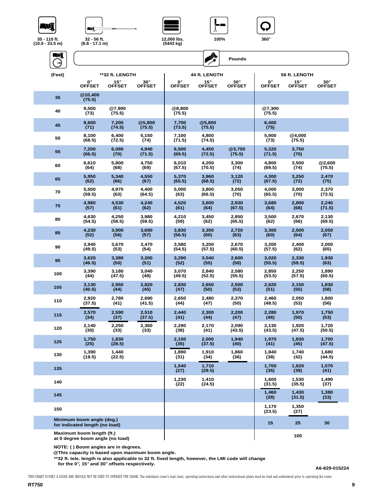NÎ







A



**Pounds**

**35 - 110 ft. (10.6 - 33.5 m)**



| (Feet) | **32 ft. LENGTH                                               |                  | 44 ft. LENGTH    |                  |                  | 56 ft. LENGTH    |                  |                  |                 |
|--------|---------------------------------------------------------------|------------------|------------------|------------------|------------------|------------------|------------------|------------------|-----------------|
|        | $0^{\circ}$                                                   | $15^{\circ}$     | $30^\circ$       | 0°               | $15^{\circ}$     | $30^\circ$       | $0^{\circ}$      | $15^{\circ}$     | $30^\circ$      |
|        | <b>OFFSET</b>                                                 | <b>OFFSET</b>    | <b>OFFSET</b>    | <b>OFFSET</b>    | <b>OFFSET</b>    | <b>OFFSET</b>    | <b>OFFSET</b>    | <b>OFFSET</b>    | <b>OFFSET</b>   |
| 35     | @10,400<br>(75.5)                                             |                  |                  |                  |                  |                  |                  |                  |                 |
| 40     | 9,500<br>(73)                                                 | @7,900<br>(75.5) |                  | @8,800<br>(75.5) |                  |                  | @7,300<br>(75.5) |                  |                 |
| 45     | 8,600<br>(71)                                                 | 7,200<br>(74.5)  | @5,800<br>(75.5) | 7,700<br>(73.5)  | @5,800<br>(75.5) |                  | 6,400<br>(75)    |                  |                 |
| 50     | 8,100<br>(68.5)                                               | 6,400<br>(72.5)  | 5,150<br>(74)    | 7,100<br>(71.5)  | 4,800<br>(74.5)  |                  | 5,900<br>(73)    | @4,000<br>(75.5) |                 |
| 55     | 7,200<br>(66.5)                                               | 6,080<br>(70)    | 4,940<br>(71.5)  | 6,500<br>(69.5)  | 4,450<br>(72.5)  | @3,750<br>(75.5) | 5,320<br>(71.5)  | 3,750<br>(75)    |                 |
| 60     | 6,610                                                         | 5,800            | 4,750            | 6,010            | 4,200            | 3,300            | 4,800            | 3,500            | @2,600          |
|        | (64)                                                          | (68)             | (69)             | (67.5)           | (70.5)           | (74)             | (69.5)           | (74)             | (75.5)          |
| 65     | 5,950                                                         | 5,340            | 4,550            | 5,370            | 3,960            | 3,120            | 4,300            | 3,250            | 2,470           |
|        | (62)                                                          | (66)             | (67)             | (65.5)           | (68.5)           | (72)             | (67.5)           | (72)             | (75)            |
| 70     | 5,500                                                         | 4,970            | 4,400            | 5,000            | 3,800            | 3,050            | 4,000            | 3,000            | 2,370           |
|        | (59.5)                                                        | (63)             | (64.5)           | (63)             | (66.5)           | (70)             | (65.5)           | (70)             | (73.5)          |
| 75     | 4,980                                                         | 4,530            | 4,240            | 4,520            | 3,600            | 2,930            | 3,680            | 2,800            | 2,240           |
|        | (57)                                                          | (61)             | (62)             | (61)             | (64)             | (67.5)           | (64)             | (68)             | (71.5)          |
| 80     | 4,630                                                         | 4,250            | 3,980            | 4,210            | 3,450            | 2,850            | 3,500            | 2,670            | 2,130           |
|        | (54.5)                                                        | (58.5)           | (59.5)           | (59)             | (62)             | (65.5)           | (62)             | (66)             | (69.5)          |
| 85     | 4,230                                                         | 3,900            | 3,690            | 3,830            | 3,300            | 2,720            | 3,300            | 2.500            | 2,050           |
|        | (52)                                                          | (56)             | (57)             | (56.5)           | (60)             | (63)             | (60)             | (64)             | (67)            |
| 90     | 3,940                                                         | 3,670            | 3,470            | 3,580            | 3,200            | 2,670            | 3,200            | 2,400            | 2,000           |
|        | (49.5)                                                        | (53)             | (54)             | (54.5)           | (57.5)           | (60.5)           | (57.5)           | (62)             | (65)            |
| 95     | 3,620                                                         | 3,380            | 3,200            | 3,290            | 3,040            | 2,600            | 3,020            | 2,330            | 1,930           |
|        | (46.5)                                                        | (50)             | (51)             | (52)             | (55)             | (58)             | (55.5)           | (59.5)           | (63)            |
| 100    | 3,390                                                         | 3,180            | 3,040            | 3,070            | 2,840            | 2,580            | 2,850            | 2,250            | 1,890           |
|        | (44)                                                          | (47.5)           | (48)             | (49.5)           | (52.5)           | (55.5)           | (53.5)           | (57.5)           | (60.5)          |
| 105    | 3,130                                                         | 2,950            | 2,820            | 2,830            | 2,650            | 2,500            | 2,620            | 2,150            | 1,830           |
|        | (40.5)                                                        | (44)             | (45)             | (47)             | (50)             | (53)             | (51)             | (55)             | (58)            |
| 110    | 2,920                                                         | 2,780            | 2,690            | 2,650            | 2,480            | 2,370            | 2,460            | 2,050            | 1,800           |
|        | (37.5)                                                        | (41)             | (41.5)           | (44)             | (47)             | (50)             | (48.5)           | (53)             | (56)            |
| 115    | 2,570                                                         | 2,590            | 2,510            | 2,440            | 2,300            | 2,200            | 2,280            | 1,970            | 1,750           |
|        | (34)                                                          | (37)             | (37.5)           | (41)             | (44)             | (47)             | (46)             | (50)             | (53)            |
| 120    | 2,140                                                         | 2,250            | 2,360            | 2,290            | 2,170            | 2,090            | 2,130            | 1,920            | 1,720           |
|        | (30)                                                          | (33)             | (33)             | (38)             | (41)             | (43.5)           | (43.5)           | (47.5)           | (50.5)          |
| 125    | 1,750<br>(25)                                                 | 1,830<br>(28.5)  |                  | 2,100<br>(35)    | 2,000<br>(37.5)  | 1,940<br>(40)    | 1,970<br>(41)    | 1,830<br>(45)    | 1,700<br>(47.5) |
| 130    | 1,390<br>(19.5)                                               | 1,440<br>(22.5)  |                  | 1,890<br>(31)    | 1,910<br>(34)    | 1,860<br>(36)    | 1,840<br>(38)    | 1,740<br>(42)    | 1,680<br>(44.5) |
| 135    |                                                               |                  |                  | 1,540<br>(27)    | 1,710<br>(29.5)  |                  | 1,700<br>(35)    | 1,620<br>(39)    | 1,570<br>(41)   |
| 140    |                                                               |                  |                  | 1,230<br>(22)    | 1,410<br>(24.5)  |                  | 1,600<br>(31.5)  | 1,530<br>(35.5)  | 1,490<br>(37)   |
| 145    |                                                               |                  |                  |                  |                  |                  | 1,460<br>(28)    | 1,430<br>(31.5)  | 1,380<br>(33)   |
| 150    |                                                               |                  |                  |                  |                  |                  | 1,170<br>(23.5)  | 1,350<br>(27)    |                 |
|        | Minimum boom angle (deg.)<br>for indicated length (no load)   |                  |                  |                  |                  |                  | 15               | 25               | 30              |
|        | Maximum boom length (ft.)<br>at 0 degree boom angle (no load) |                  |                  |                  |                  |                  |                  | 100              |                 |

**NOTE: ( ) Boom angles are in degrees. @This capacity is based upon maximum boom angle.**

**\*\*32 ft. tele. length is also applicable to 32 ft. fixed length, however, the LMI code will change** 

 **for the 0**°**, 15**° **and 30**° **offsets respectively.**

**A6-829-015224**

THIS CHART IS ONLY A GUIDE AND SHOULD NOT BE USED TO OPERATE THE CRANE. The individual crane's load chart, operating instructions and other instructional plates must be read and understood prior to operating the crane.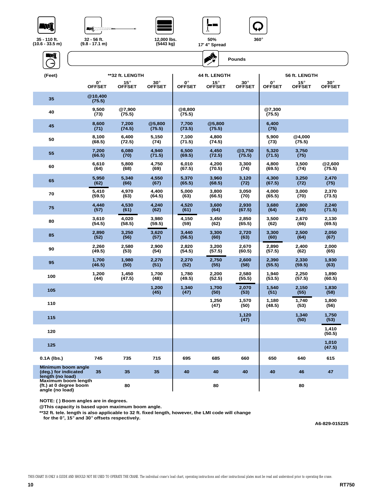



**(5443 kg)**





**35 - 110 ft. (10.6 - 33.5 m)**





| 17 |  | 4" Spread |
|----|--|-----------|
|    |  |           |

| - 5                                                              |                              |                               |                             |                     | $\mathcal{L}_{\mathcal{F}}$   | <b>Pounds</b>               |                              |                               |                             |
|------------------------------------------------------------------|------------------------------|-------------------------------|-----------------------------|---------------------|-------------------------------|-----------------------------|------------------------------|-------------------------------|-----------------------------|
| (Feet)                                                           | **32 ft. LENGTH              |                               |                             | 44 ft. LENGTH       |                               |                             | 56 ft. LENGTH                |                               |                             |
|                                                                  | $0^{\circ}$<br><b>OFFSET</b> | $15^{\circ}$<br><b>OFFSET</b> | $30^\circ$<br><b>OFFSET</b> | 0°<br><b>OFFSET</b> | $15^{\circ}$<br><b>OFFSET</b> | $30^\circ$<br><b>OFFSET</b> | $0^{\circ}$<br><b>OFFSET</b> | $15^{\circ}$<br><b>OFFSET</b> | $30^\circ$<br><b>OFFSET</b> |
| 35                                                               | @10,400<br>(75.5)            |                               |                             |                     |                               |                             |                              |                               |                             |
| 40                                                               | 9,500<br>(73)                | @7,900<br>(75.5)              |                             | @8,800<br>(75.5)    |                               |                             | @7,300<br>(75.5)             |                               |                             |
| 45                                                               | 8,600<br>(71)                | 7,200<br>(74.5)               | @5,800<br>(75.5)            | 7,700<br>(73.5)     | @5,800<br>(75.5)              |                             | 6,400<br>(75)                |                               |                             |
| 50                                                               | 8,100<br>(68.5)              | 6,400<br>(72.5)               | 5,150<br>(74)               | 7,100<br>(71.5)     | 4,800<br>(74.5)               |                             | 5,900<br>(73)                | @4.000<br>(75.5)              |                             |
| 55                                                               | 7,200<br>(66.5)              | 6,080<br>(70)                 | 4,940<br>(71.5)             | 6,500<br>(69.5)     | 4,450<br>(72.5)               | @3,750<br>(75.5)            | 5,320<br>(71.5)              | 3,750<br>(75)                 |                             |
| 60                                                               | 6,610<br>(64)                | 5,800<br>(68)                 | 4,750<br>(69)               | 6,010<br>(67.5)     | 4,200<br>(70.5)               | 3,300<br>(74)               | 4,800<br>(69.5)              | 3,500<br>(74)                 | @2,600<br>(75.5)            |
| 65                                                               | 5,950<br>(62)                | 5,340<br>(66)                 | 4,550<br>(67)               | 5,370<br>(65.5)     | 3,960<br>(68.5)               | 3,120<br>(72)               | 4,300<br>(67.5)              | 3,250<br>(72)                 | 2,470<br>(75)               |
| 70                                                               | 5,410<br>(59.5)              | 4,970<br>(63)                 | 4,400<br>(64.5)             | 5,000<br>(63)       | 3,800<br>(66.5)               | 3,050<br>(70)               | 4,000<br>(65.5)              | 3,000<br>(70)                 | 2.370<br>(73.5)             |
| 75                                                               | 4,440<br>(57)                | 4,530<br>(61)                 | 4,240<br>(62)               | 4,520<br>(61)       | 3,600<br>(64)                 | 2,930<br>(67.5)             | 3,680<br>(64)                | 2,800<br>(68)                 | 2,240<br>(71.5)             |
| 80                                                               | 3,610<br>(54.5)              | 4,020<br>(58.5)               | 3,980<br>(59.5)             | 4,150<br>(59)       | 3,450<br>(62)                 | 2,850<br>(65.5)             | 3,500<br>(62)                | 2,670<br>(66)                 | 2,130<br>(69.5)             |
| 85                                                               | 2,890<br>(52)                | 3,250<br>(56)                 | 3,620<br>(57)               | 3,440<br>(56.5)     | 3,300<br>(60)                 | 2,720<br>(63)               | 3,300<br>(60)                | 2,500<br>(64)                 | 2,050<br>(67)               |
| 90                                                               | 2,260<br>(49.5)              | 2,580<br>(53)                 | 2,900<br>(54)               | 2,820<br>(54.5)     | 3,200<br>(57.5)               | 2,670<br>(60.5)             | 2,890<br>(57.5)              | 2,400<br>(62)                 | 2,000<br>(65)               |
| 95                                                               | 1,700<br>(46.5)              | 1,980<br>(50)                 | 2,270<br>(51)               | 2,270<br>(52)       | 2,750<br>(55)                 | 2,600<br>(58)               | 2,390<br>(55.5)              | 2,330<br>(59.5)               | 1,930<br>(63)               |
| 100                                                              | 1,200<br>(44)                | 1,450<br>(47.5)               | 1,700<br>(48)               | 1,780<br>(49.5)     | 2,200<br>(52.5)               | 2,580<br>(55.5)             | 1,940<br>(53.5)              | 2,250<br>(57.5)               | 1,890<br>(60.5)             |
| 105                                                              |                              |                               | 1,200<br>(45)               | 1,340<br>(47)       | 1,700<br>(50)                 | 2,070<br>(53)               | 1,540<br>(51)                | 2,150<br>(55)                 | 1,830<br>(58)               |
| 110                                                              |                              |                               |                             |                     | 1,250<br>(47)                 | 1,570<br>(50)               | 1,180<br>(48.5)              | 1,740<br>(53)                 | 1,800<br>(56)               |
| 115                                                              |                              |                               |                             |                     |                               | 1,120<br>(47)               |                              | 1,340<br>(50)                 | 1,750<br>(53)               |
| 120                                                              |                              |                               |                             |                     |                               |                             |                              |                               | 1,410<br>(50.5)             |
| 125                                                              |                              |                               |                             |                     |                               |                             |                              |                               | 1,010<br>(47.5)             |
| 0.1A (lbs.)                                                      | 745                          | 735                           | 715                         | 695                 | 685                           | 660                         | 650                          | 640                           | 615                         |
| Minimum boom angle<br>(deg.) for indicated<br>length (no load)   | 35                           | 35                            | 35                          | 40                  | 40                            | 40                          | 40                           | 46                            | 47                          |
| Maximum boom length<br>(ft.) at 0 degree boom<br>angle (no load) |                              | 80                            |                             |                     | 80                            |                             |                              | 80                            |                             |

**NOTE: ( ) Boom angles are in degrees.**

**@This capacity is based upon maximum boom angle.**

**\*\*32 ft. tele. length is also applicable to 32 ft. fixed length, however, the LMI code will change** 

 **for the 0**°**, 15**° **and 30**° **offsets respectively.**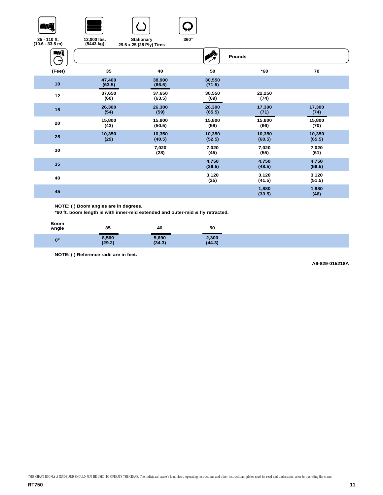







**35 - 110 ft. (10.6 - 33.5 m)**

**12,000 lbs. (5443 kg) Stationary 29.5 x 25 (28 Ply) Tires**

| WÎ     |                  |                  |                  | Pounds           |                  |
|--------|------------------|------------------|------------------|------------------|------------------|
| (Feet) | 35               | 40               | 50               | *60              | 70               |
| 10     | 47,400<br>(63.5) | 38,900<br>(66.5) | 30,550<br>(71.5) |                  |                  |
| 12     | 37,650<br>(60)   | 37,650<br>(63.5) | 30,550<br>(69)   | 22,250<br>(74)   |                  |
| 15     | 26,300<br>(54)   | 26,300<br>(59)   | 26,300<br>(65.5) | 17,300<br>(71)   | 17,300<br>(74)   |
| 20     | 15,800<br>(43)   | 15,800<br>(50.5) | 15,800<br>(59)   | 15,800<br>(66)   | 15,800<br>(70)   |
| 25     | 10,350<br>(29)   | 10,350<br>(40.5) | 10,350<br>(52.5) | 10,350<br>(60.5) | 10,350<br>(65.5) |
| 30     |                  | 7,020<br>(28)    | 7,020<br>(45)    | 7,020<br>(55)    | 7,020<br>(61)    |
| 35     |                  |                  | 4,750<br>(36.5)  | 4,750<br>(48.5)  | 4,750<br>(56.5)  |
| 40     |                  |                  | 3,120<br>(25)    | 3,120<br>(41.5)  | 3,120<br>(51.5)  |
| 45     |                  |                  |                  | 1,880<br>(33.5)  | 1,880<br>(46)    |

**NOTE: ( ) Boom angles are in degrees.**

**\*60 ft. boom length is with inner-mid extended and outer-mid & fly retracted.**

| Boom<br>Angle | 35              | 40              | 50              |  |
|---------------|-----------------|-----------------|-----------------|--|
| $0^\circ$     | 8,560<br>(29.2) | 5,690<br>(34.3) | 2,300<br>(44.3) |  |

**NOTE: ( ) Reference radii are in feet.**

**A6-829-015218A**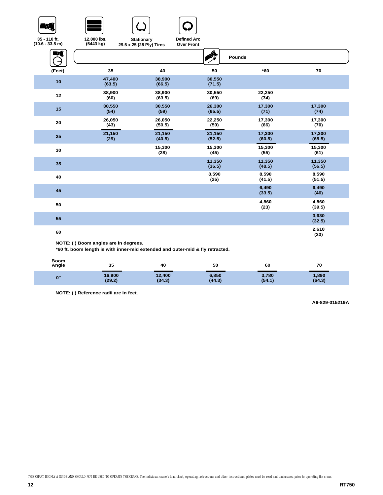







**Stationary** 

**Defined Arc** 

| 35 - 110 ft.<br>$(10.6 - 33.5)$ m) | 12,000 lbs.<br>(5443 kg)              | <b>Defined Arc</b><br><b>Stationary</b><br><b>Over Front</b><br>29.5 x 25 (28 Ply) Tires |                  |                  |                  |
|------------------------------------|---------------------------------------|------------------------------------------------------------------------------------------|------------------|------------------|------------------|
| Ŋ<br>$\rightarrow$                 |                                       |                                                                                          | <mark>इ</mark> ∖ | Pounds           |                  |
| (Feet)                             | 35                                    | 40                                                                                       | 50               | $*60$            | 70               |
| 10                                 | 47,400<br>(63.5)                      | 38,900<br>(66.5)                                                                         | 30,550<br>(71.5) |                  |                  |
| 12                                 | 38,900<br>(60)                        | 38,900<br>(63.5)                                                                         | 30,550<br>(69)   | 22,250<br>(74)   |                  |
| 15                                 | 30,550<br>(54)                        | 30,550<br>(59)                                                                           | 26,300<br>(65.5) | 17,300<br>(71)   | 17,300<br>(74)   |
| 20                                 | 26,050<br>(43)                        | 26,050<br>(50.5)                                                                         | 22,250<br>(59)   | 17,300<br>(66)   | 17,300<br>(70)   |
| 25                                 | 21,150<br>(29)                        | 21,150<br>(40.5)                                                                         | 21,150<br>(52.5) | 17,300<br>(60.5) | 17,300<br>(65.5) |
| 30                                 |                                       | 15,300<br>(28)                                                                           | 15,300<br>(45)   | 15,300<br>(55)   | 15,300<br>(61)   |
| 35                                 |                                       |                                                                                          | 11,350<br>(36.5) | 11,350<br>(48.5) | 11,350<br>(56.5) |
| 40                                 |                                       |                                                                                          | 8,590<br>(25)    | 8,590<br>(41.5)  | 8,590<br>(51.5)  |
| 45                                 |                                       |                                                                                          |                  | 6,490<br>(33.5)  | 6,490<br>(46)    |
| 50                                 |                                       |                                                                                          |                  | 4,860<br>(23)    | 4,860<br>(39.5)  |
| 55                                 |                                       |                                                                                          |                  |                  | 3,630<br>(32.5)  |
| 60                                 |                                       |                                                                                          |                  |                  | 2,610<br>(23)    |
|                                    | NOTE: ( ) Boom angles are in degrees. |                                                                                          |                  |                  |                  |

**\*60 ft. boom length is with inner-mid extended and outer-mid & fly retracted.**

| <b>Boom</b><br>Angle | 35               | 40               | 50              | 60              | 70              |  |
|----------------------|------------------|------------------|-----------------|-----------------|-----------------|--|
| $\mathbf{0}^{\circ}$ | 16,900<br>(29.2) | 12,400<br>(34.3) | 6,850<br>(44.3) | 3,780<br>(54.1) | 1,890<br>(64.3) |  |

**NOTE: ( ) Reference radii are in feet.**

**A6-829-015219A**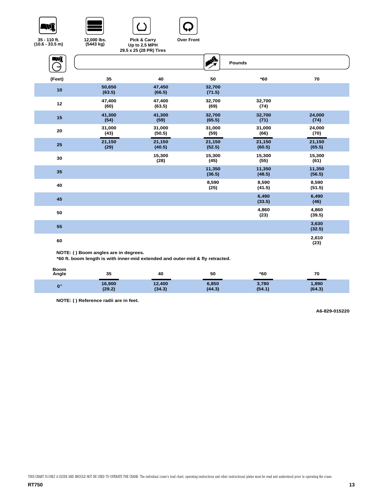







**35 - 110 ft. (10.6 - 33.5 m)**

**Pick & Carry Up to 2.5 MPH Over Front**

|        |                                       | 29.5 x 25 (28 PR) Tires |                  |                  |                  |  |
|--------|---------------------------------------|-------------------------|------------------|------------------|------------------|--|
| NÎ     |                                       |                         | A                | Pounds           |                  |  |
| (Feet) | 35                                    | 40                      | 50               | $*60$            | 70               |  |
| 10     | 50,650<br>(63.5)                      | 47,450<br>(66.5)        | 32,700<br>(71.5) |                  |                  |  |
| 12     | 47,400<br>(60)                        | 47,400<br>(63.5)        | 32,700<br>(69)   | 32,700<br>(74)   |                  |  |
| 15     | 41,300<br>(54)                        | 41,300<br>(59)          | 32,700<br>(65.5) | 32,700<br>(71)   | 24,000<br>(74)   |  |
| 20     | 31,000<br>(43)                        | 31,000<br>(50.5)        | 31,000<br>(59)   | 31,000<br>(66)   | 24,000<br>(70)   |  |
| 25     | 21,150<br>(29)                        | 21,150<br>(40.5)        | 21,150<br>(52.5) | 21,150<br>(60.5) | 21,150<br>(65.5) |  |
| 30     |                                       | 15,300<br>(28)          | 15,300<br>(45)   | 15,300<br>(55)   | 15,300<br>(61)   |  |
| 35     |                                       |                         | 11,350<br>(36.5) | 11,350<br>(48.5) | 11,350<br>(56.5) |  |
| 40     |                                       |                         | 8,590<br>(25)    | 8,590<br>(41.5)  | 8,590<br>(51.5)  |  |
| 45     |                                       |                         |                  | 6,490<br>(33.5)  | 6,490<br>(46)    |  |
| 50     |                                       |                         |                  | 4,860<br>(23)    | 4,860<br>(39.5)  |  |
| 55     |                                       |                         |                  |                  | 3,630<br>(32.5)  |  |
| 60     |                                       |                         |                  |                  | 2,610<br>(23)    |  |
|        | NOTE: ( ) Boom angles are in degrees. |                         |                  |                  |                  |  |

**\*60 ft. boom length is with inner-mid extended and outer-mid & fly retracted.**

| <b>Boom</b><br>Angle | 35               | 40               | 50              | *60             | 70              |  |
|----------------------|------------------|------------------|-----------------|-----------------|-----------------|--|
| $0^{\circ}$          | 16,900<br>(29.2) | 12,400<br>(34.3) | 6,850<br>(44.3) | 3,780<br>(54.1) | 1,890<br>(64.3) |  |

**NOTE: ( ) Reference radii are in feet.**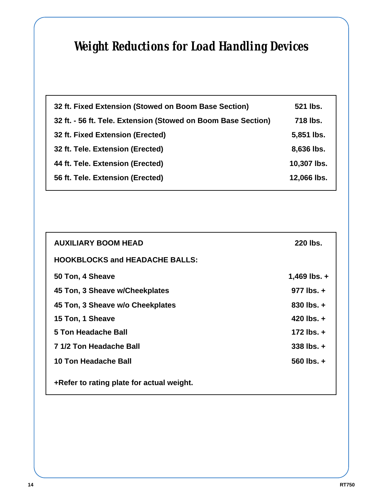# *Weight Reductions for Load Handling Devices*

| 32 ft. Fixed Extension (Stowed on Boom Base Section)          | 521 lbs.    |
|---------------------------------------------------------------|-------------|
| 32 ft. - 56 ft. Tele. Extension (Stowed on Boom Base Section) | 718 lbs.    |
| 32 ft. Fixed Extension (Erected)                              | 5,851 lbs.  |
| 32 ft. Tele. Extension (Erected)                              | 8,636 lbs.  |
| 44 ft. Tele. Extension (Erected)                              | 10,307 lbs. |
| 56 ft. Tele. Extension (Erected)                              | 12,066 lbs. |

| <b>AUXILIARY BOOM HEAD</b>                | 220 lbs.           |
|-------------------------------------------|--------------------|
| <b>HOOKBLOCKS and HEADACHE BALLS:</b>     |                    |
| 50 Ton, 4 Sheave                          | 1,469 lbs. $+$     |
| 45 Ton, 3 Sheave w/Cheekplates            | $977$ lbs. $+$     |
| 45 Ton, 3 Sheave w/o Cheekplates          | $830$ lbs. $+$     |
| 15 Ton, 1 Sheave                          | 420 $\text{lbs.}+$ |
| <b>5 Ton Headache Ball</b>                | $172$ lbs. $+$     |
| 7 1/2 Ton Headache Ball                   | $338$ lbs. $+$     |
| 10 Ton Headache Ball                      | 560 lbs. $+$       |
| +Refer to rating plate for actual weight. |                    |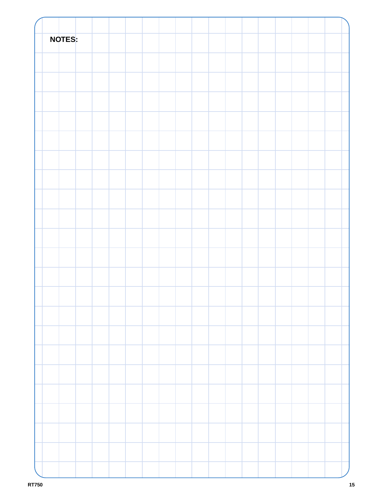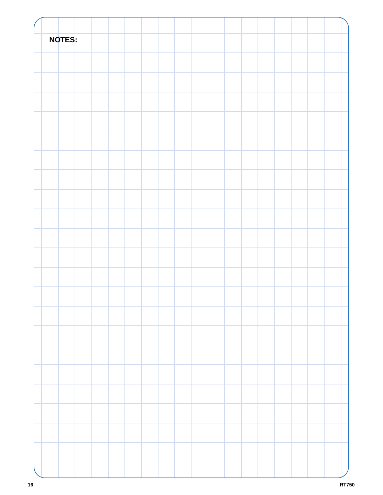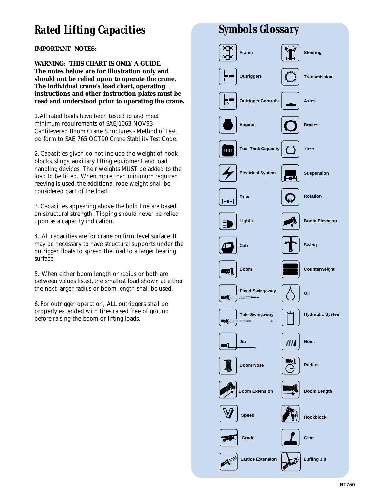## *Rated Lifting Capacities*

**IMPORTANT NOTES:**

**WARNING: THIS CHART IS ONLY A GUIDE. The notes below are for illustration only and should not be relied upon to operate the crane. The individual crane's load chart, operating instructions and other instruction plates must be read and understood prior to operating the crane.**

1.All rated loads have been tested to and meet minimum requirements of SAEJ1063 NOV93 - Cantilevered Boom Crane Structures - Method of Test, perform to SAEJ765 OCT90 Crane Stability Test Code.

2. Capacities given do not include the weight of hook blocks, slings, auxiliary lifting equipment and load handling devices. Their weights MUST be added to the load to be lifted. When more than minimum required reeving is used, the additional rope weight shall be considered part of the load.

3. Capacities appearing above the bold line are based on structural strength. Tipping should never be relied upon as a capacity indication.

4. All capacities are for crane on firm, level surface. It may be necessary to have structural supports under the outrigger floats to spread the load to a larger bearing surface.

5. When either boom length or radius or both are between values listed, the smallest load shown at either the next larger radius or boom length shall be used.

6. For outrigger operation, ALL outriggers shall be properly extended with tires raised free of ground before raising the boom or lifting loads.

# *Symbols Glossary*